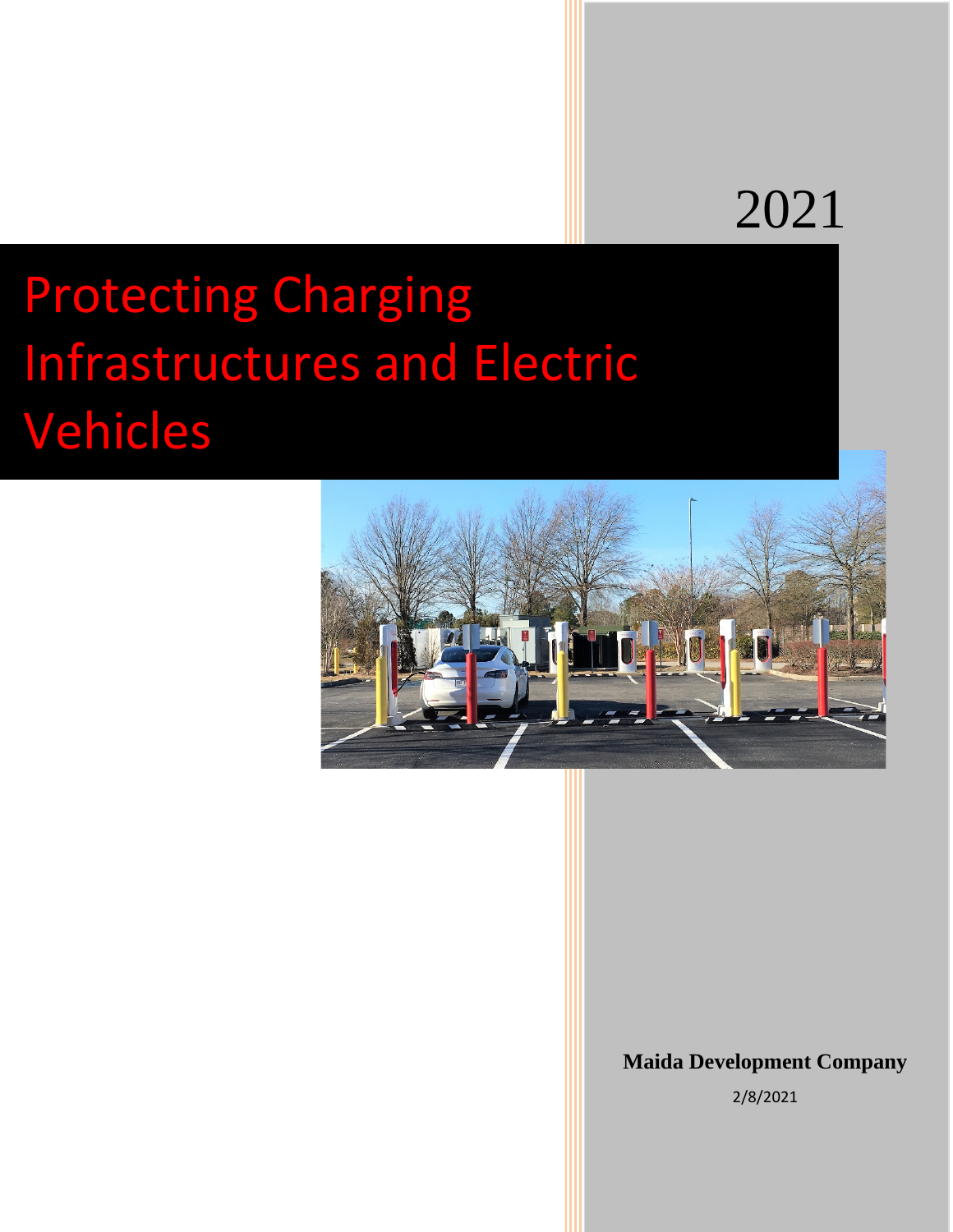## 2021

# Protecting Charging Infrastructures and Electric Vehicles



## **Maida Development Company**

2/8/2021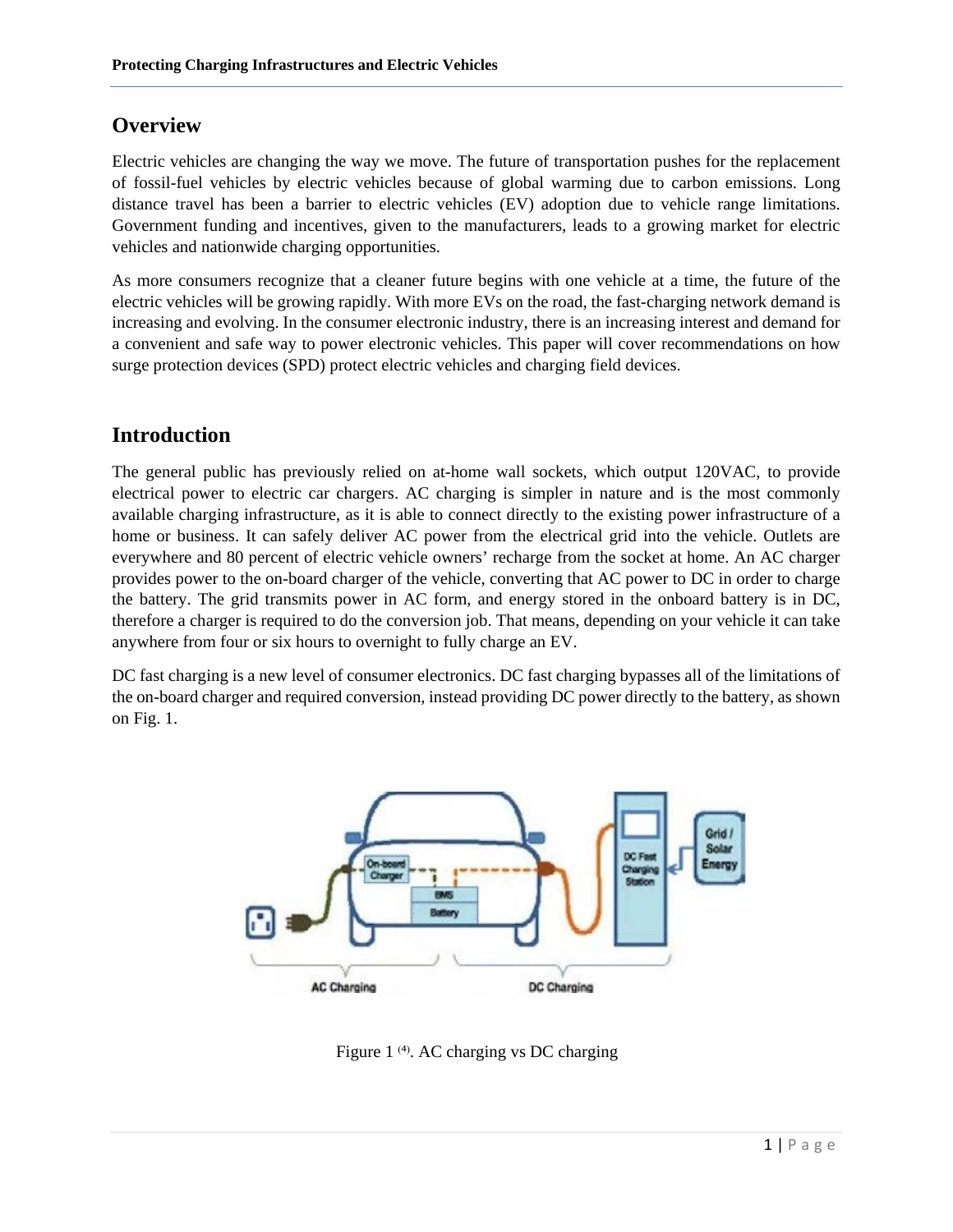## **Overview**

Electric vehicles are changing the way we move. The future of transportation pushes for the replacement of fossil-fuel vehicles by electric vehicles because of global warming due to carbon emissions. Long distance travel has been a barrier to electric vehicles (EV) adoption due to vehicle range limitations. Government funding and incentives, given to the manufacturers, leads to a growing market for electric vehicles and nationwide charging opportunities.

As more consumers recognize that a cleaner future begins with one vehicle at a time, the future of the electric vehicles will be growing rapidly. With more EVs on the road, the fast-charging network demand is increasing and evolving. In the consumer electronic industry, there is an increasing interest and demand for a convenient and safe way to power electronic vehicles. This paper will cover recommendations on how surge protection devices (SPD) protect electric vehicles and charging field devices.

## **Introduction**

The general public has previously relied on at-home wall sockets, which output 120VAC, to provide electrical power to electric car chargers. AC charging is simpler in nature and is the most commonly available charging infrastructure, as it is able to connect directly to the existing power infrastructure of a home or business. It can safely deliver AC power from the electrical grid into the vehicle. Outlets are everywhere and 80 percent of electric vehicle owners' recharge from the socket at home. An AC charger provides power to the on-board charger of the vehicle, converting that AC power to DC in order to charge the battery. The grid transmits power in AC form, and energy stored in the onboard battery is in DC, therefore a charger is required to do the conversion job. That means, depending on your vehicle it can take anywhere from four or six hours to overnight to fully charge an EV.

DC fast charging is a new level of consumer electronics. DC fast charging bypasses all of the limitations of the on-board charger and required conversion, instead providing DC power directly to the battery, as shown on Fig. 1.



Figure 1 <sup>(4)</sup>. AC charging vs DC charging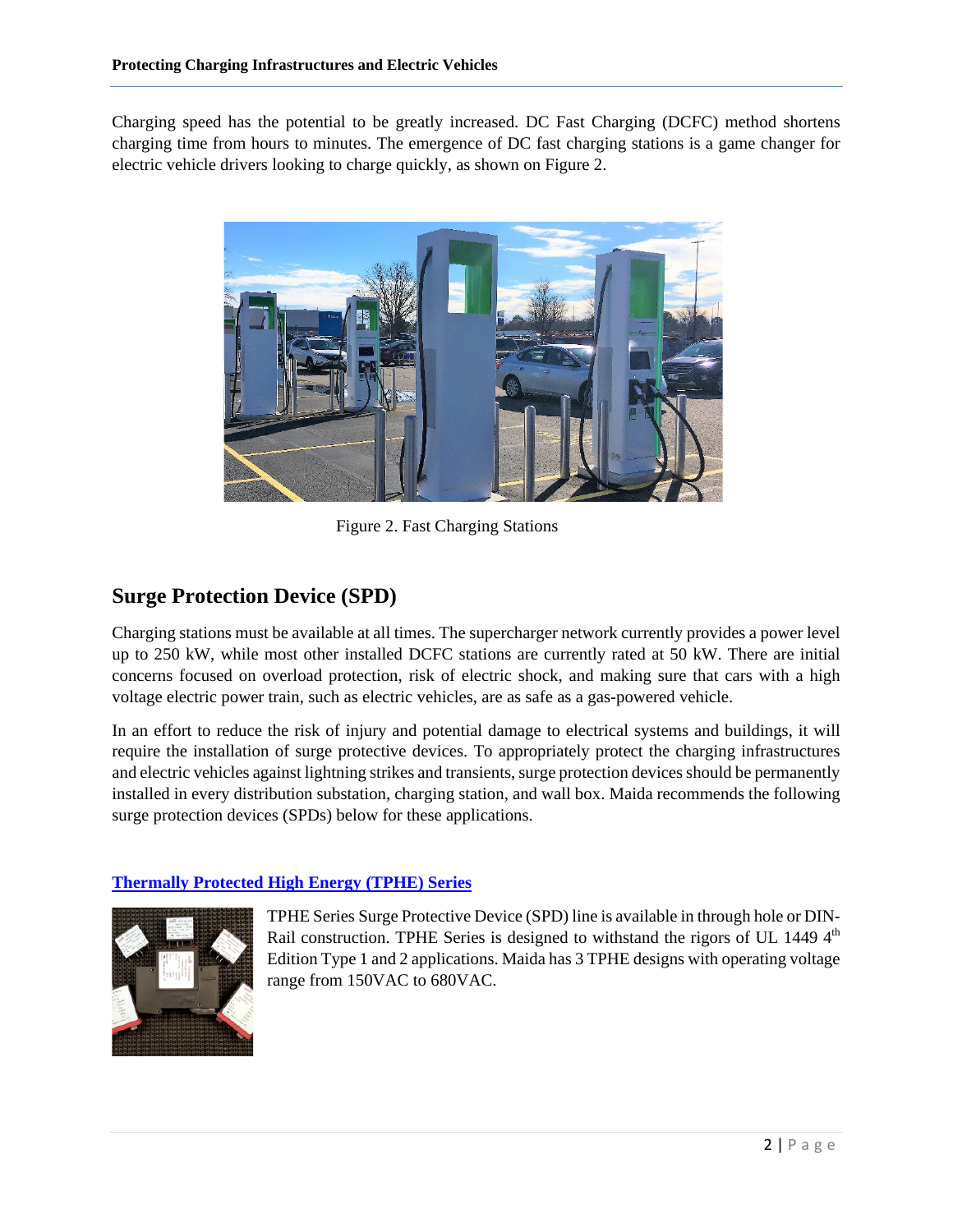Charging speed has the potential to be greatly increased. DC Fast Charging (DCFC) method shortens charging time from hours to minutes. The emergence of DC fast charging stations is a game changer for electric vehicle drivers looking to charge quickly, as shown on Figure 2.



Figure 2. Fast Charging Stations

## **Surge Protection Device (SPD)**

Charging stations must be available at all times. The supercharger network currently provides a power level up to 250 kW, while most other installed DCFC stations are currently rated at 50 kW. There are initial concerns focused on overload protection, risk of electric shock, and making sure that cars with a high voltage electric power train, such as electric vehicles, are as safe as a gas-powered vehicle.

In an effort to reduce the risk of injury and potential damage to electrical systems and buildings, it will require the installation of surge protective devices. To appropriately protect the charging infrastructures and electric vehicles against lightning strikes and transients, surge protection devices should be permanently installed in every distribution substation, charging station, and wall box. Maida recommends the following surge protection devices (SPDs) below for these applications.

#### **[Thermally Protected High Energy \(TPHE\) Series](http://maida.com/pdf/Thermally%20Protected%20High%20Energy%20Series.pdf)**

![](_page_2_Picture_8.jpeg)

TPHE Series Surge Protective Device (SPD) line is available in through hole or DIN-Rail construction. TPHE Series is designed to withstand the rigors of UL 1449  $4<sup>th</sup>$ Edition Type 1 and 2 applications. Maida has 3 TPHE designs with operating voltage range from 150VAC to 680VAC.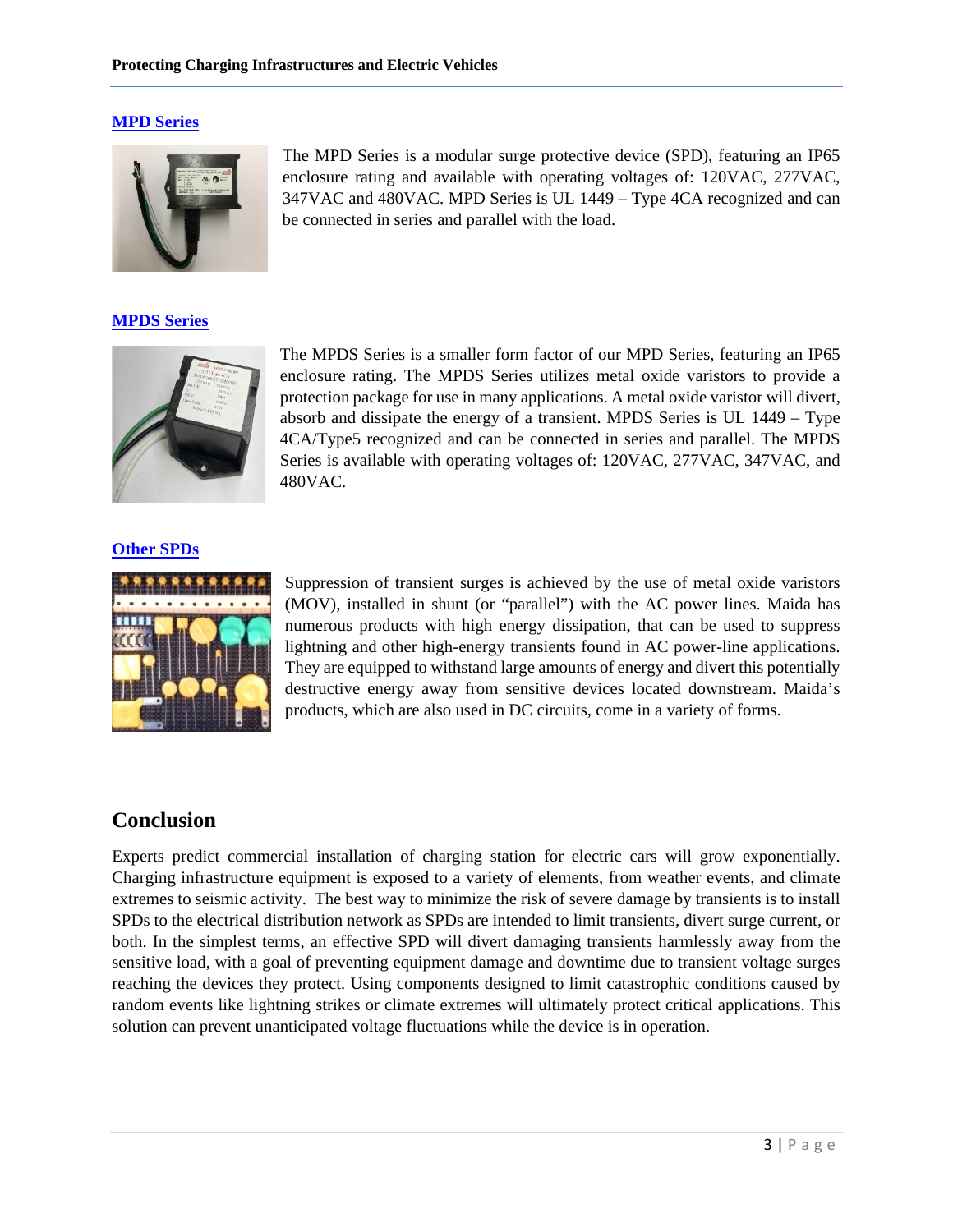#### **[MPD Series](http://www.maida.com/pdf/MPD%20Series.pdf)**

![](_page_3_Picture_2.jpeg)

#### **[MPDS Series](http://maida.com/pdf/MPDS%20SERIES%20Ver1_4.pdf)**

![](_page_3_Picture_4.jpeg)

The MPD Series is a modular surge protective device (SPD), featuring an IP65 enclosure rating and available with operating voltages of: 120VAC, 277VAC, 347VAC and 480VAC. MPD Series is UL 1449 – Type 4CA recognized and can be connected in series and parallel with the load.

The MPDS Series is a smaller form factor of our MPD Series, featuring an IP65 enclosure rating. The MPDS Series utilizes metal oxide varistors to provide a protection package for use in many applications. A metal oxide varistor will divert, absorb and dissipate the energy of a transient. MPDS Series is UL 1449 – Type 4CA/Type5 recognized and can be connected in series and parallel. The MPDS Series is available with operating voltages of: 120VAC, 277VAC, 347VAC, and 480VAC.

#### **[Other SPDs](http://maida.com/varistors.php)**

![](_page_3_Picture_8.jpeg)

Suppression of transient surges is achieved by the use of metal oxide varistors (MOV), installed in shunt (or "parallel") with the AC power lines. Maida has numerous products with high energy dissipation, that can be used to suppress lightning and other high-energy transients found in AC power-line applications. They are equipped to withstand large amounts of energy and divert this potentially destructive energy away from sensitive devices located downstream. Maida's products, which are also used in DC circuits, come in a variety of forms.

### **Conclusion**

Experts predict commercial installation of charging station for electric cars will grow exponentially. Charging infrastructure equipment is exposed to a variety of elements, from weather events, and climate extremes to seismic activity. The best way to minimize the risk of severe damage by transients is to install SPDs to the electrical distribution network as SPDs are intended to limit transients, divert surge current, or both. In the simplest terms, an effective SPD will divert damaging transients harmlessly away from the sensitive load, with a goal of preventing equipment damage and downtime due to transient voltage surges reaching the devices they protect. Using components designed to limit catastrophic conditions caused by random events like lightning strikes or climate extremes will ultimately protect critical applications. This solution can prevent unanticipated voltage fluctuations while the device is in operation.